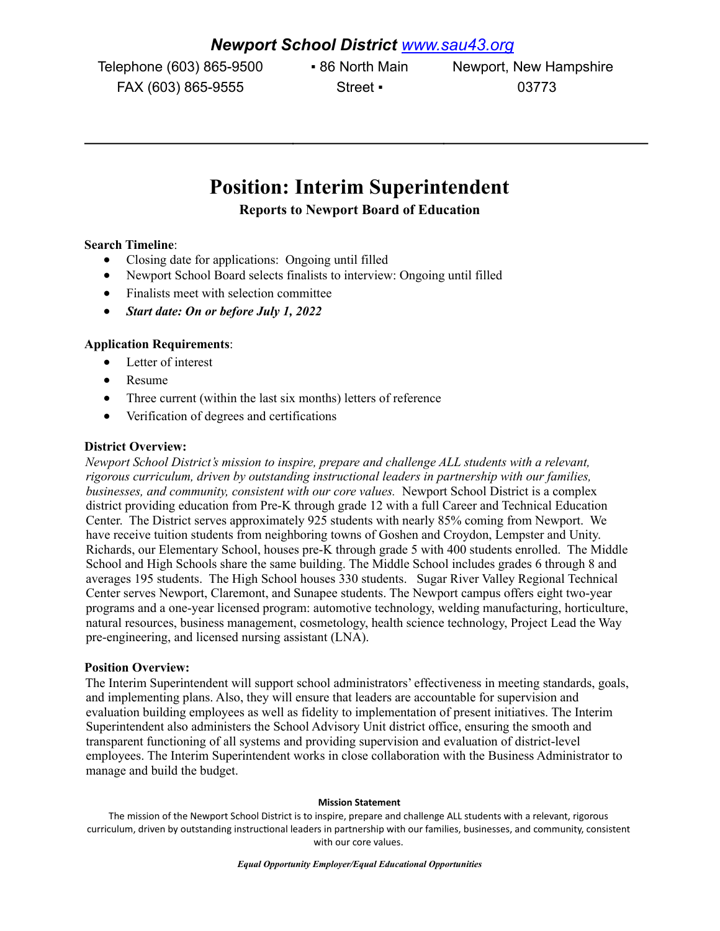## *Newport School District [www.sau43.org](http://www.sau43.org/)*

Telephone (603) 865-9500 • 86 North Main Newport, New Hampshire FAX (603) 865-9555 Street • 03773

# **Position: Interim Superintendent**

**Reports to Newport Board of Education**

### **Search Timeline**:

- Closing date for applications: Ongoing until filled
- Newport School Board selects finalists to interview: Ongoing until filled
- Finalists meet with selection committee
- *Start date: On or before July 1, 2022*

### **Application Requirements**:

- Letter of interest
- Resume
- Three current (within the last six months) letters of reference
- Verification of degrees and certifications

#### **District Overview:**

*Newport School District's mission to inspire, prepare and challenge ALL students with a relevant, rigorous curriculum, driven by outstanding instructional leaders in partnership with our families, businesses, and community, consistent with our core values.* Newport School District is a complex district providing education from Pre-K through grade 12 with a full Career and Technical Education Center. The District serves approximately 925 students with nearly 85% coming from Newport. We have receive tuition students from neighboring towns of Goshen and Croydon, Lempster and Unity. Richards, our Elementary School, houses pre-K through grade 5 with 400 students enrolled. The Middle School and High Schools share the same building. The Middle School includes grades 6 through 8 and averages 195 students. The High School houses 330 students. Sugar River Valley Regional Technical Center serves Newport, Claremont, and Sunapee students. The Newport campus offers eight two-year programs and a one-year licensed program: automotive technology, welding manufacturing, horticulture, natural resources, business management, cosmetology, health science technology, Project Lead the Way pre-engineering, and licensed nursing assistant (LNA).

#### **Position Overview:**

The Interim Superintendent will support school administrators' effectiveness in meeting standards, goals, and implementing plans. Also, they will ensure that leaders are accountable for supervision and evaluation building employees as well as fidelity to implementation of present initiatives. The Interim Superintendent also administers the School Advisory Unit district office, ensuring the smooth and transparent functioning of all systems and providing supervision and evaluation of district-level employees. The Interim Superintendent works in close collaboration with the Business Administrator to manage and build the budget.

#### **Mission Statement**

The mission of the Newport School District is to inspire, prepare and challenge ALL students with a relevant, rigorous curriculum, driven by outstanding instructional leaders in partnership with our families, businesses, and community, consistent with our core values.